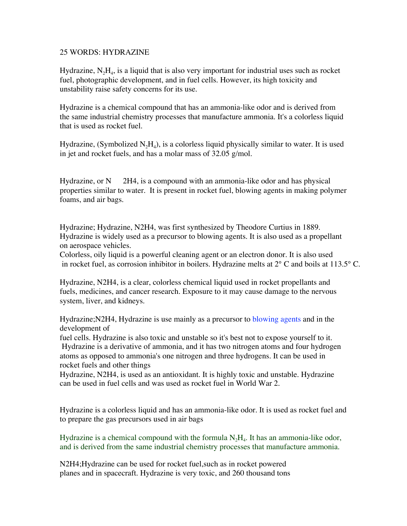## 25 WORDS: HYDRAZINE

Hydrazine,  $N_2H_4$ , is a liquid that is also very important for industrial uses such as rocket fuel, photographic development, and in fuel cells. However, its high toxicity and unstability raise safety concerns for its use.

Hydrazine is a chemical compound that has an ammonia-like odor and is derived from the same industrial chemistry processes that manufacture ammonia. It's a colorless liquid that is used as rocket fuel.

Hydrazine, (Symbolized  $N_2H_4$ ), is a colorless liquid physically similar to water. It is used in jet and rocket fuels, and has a molar mass of 32.05 g/mol.

Hydrazine, or  $N = 2H4$ , is a compound with an ammonia-like odor and has physical properties similar to water. It is present in rocket fuel, blowing agents in making polymer foams, and air bags.

Hydrazine; Hydrazine, N2H4, was first synthesized by Theodore Curtius in 1889. Hydrazine is widely used as a precursor to blowing agents. It is also used as a propellant on aerospace vehicles.

Colorless, oily liquid is a powerful cleaning agent or an electron donor. It is also used in rocket fuel, as corrosion inhibitor in boilers. Hydrazine melts at 2° C and boils at 113.5° C.

Hydrazine, N2H4, is a clear, colorless chemical liquid used in rocket propellants and fuels, medicines, and cancer research. Exposure to it may cause damage to the nervous system, liver, and kidneys.

Hydrazine;N2H4, Hydrazine is use mainly as a precursor to blowing agents and in the development of

fuel cells. Hydrazine is also toxic and unstable so it's best not to expose yourself to it. Hydrazine is a derivative of ammonia, and it has two nitrogen atoms and four hydrogen atoms as opposed to ammonia's one nitrogen and three hydrogens. It can be used in rocket fuels and other things

Hydrazine, N2H4, is used as an antioxidant. It is highly toxic and unstable. Hydrazine can be used in fuel cells and was used as rocket fuel in World War 2.

Hydrazine is a colorless liquid and has an ammonia-like odor. It is used as rocket fuel and to prepare the gas precursors used in air bags

Hydrazine is a chemical compound with the formula  $N_2H_4$ . It has an ammonia-like odor, and is derived from the same industrial chemistry processes that manufacture ammonia.

N2H4;Hydrazine can be used for rocket fuel,such as in rocket powered planes and in spacecraft. Hydrazine is very toxic, and 260 thousand tons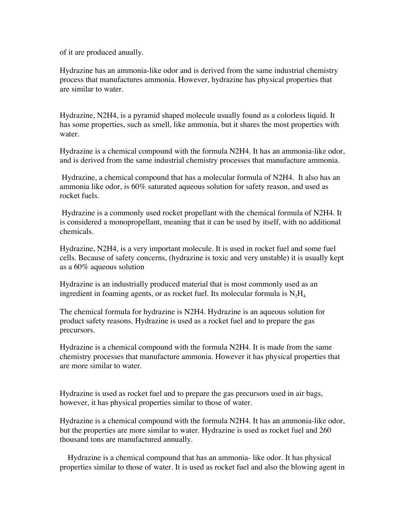of it are produced anually.

Hydrazine has an ammonia-like odor and is derived from the same industrial chemistry process that manufactures ammonia. However, hydrazine has physical properties that are similar to water.

Hydrazine, N2H4, is a pyramid shaped molecule usually found as a colorless liquid. It has some properties, such as smell, like ammonia, but it shares the most properties with water.

Hydrazine is a chemical compound with the formula N2H4. It has an ammonia-like odor, and is derived from the same industrial chemistry processes that manufacture ammonia.

 Hydrazine, a chemical compound that has a molecular formula of N2H4. It also has an ammonia like odor, is 60% saturated aqueous solution for safety reason, and used as rocket fuels.

 Hydrazine is a commonly used rocket propellant with the chemical formula of N2H4. It is considered a monopropellant, meaning that it can be used by itself, with no additional chemicals.

Hydrazine, N2H4, is a very important molecule. It is used in rocket fuel and some fuel cells. Because of safety concerns, (hydrazine is toxic and very unstable) it is usually kept as a 60% aqueous solution

Hydrazine is an industrially produced material that is most commonly used as an ingredient in foaming agents, or as rocket fuel. Its molecular formula is  $N<sub>2</sub>H<sub>4</sub>$ .

The chemical formula for hydrazine is N2H4. Hydrazine is an aqueous solution for product safety reasons. Hydrazine is used as a rocket fuel and to prepare the gas precursors.

Hydrazine is a chemical compound with the formula N2H4. It is made from the same chemistry processes that manufacture ammonia. However it has physical properties that are more similar to water.

Hydrazine is used as rocket fuel and to prepare the gas precursors used in air bags, however, it has physical properties similar to those of water.

Hydrazine is a chemical compound with the formula N2H4. It has an ammonia-like odor, but the properties are more similar to water. Hydrazine is used as rocket fuel and 260 thousand tons are manufactured annually.

 Hydrazine is a chemical compound that has an ammonia- like odor. It has physical properties similar to those of water. It is used as rocket fuel and also the blowing agent in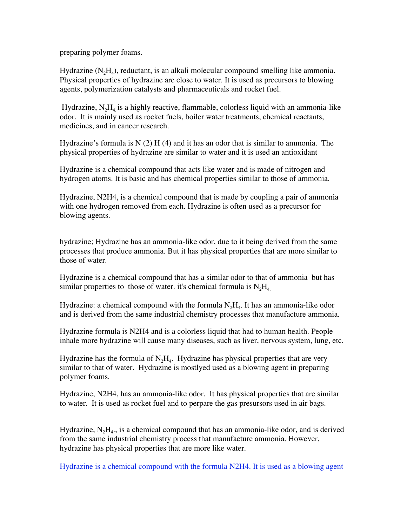preparing polymer foams.

Hydrazine  $(N_2H_4)$ , reductant, is an alkali molecular compound smelling like ammonia. Physical properties of hydrazine are close to water. It is used as precursors to blowing agents, polymerization catalysts and pharmaceuticals and rocket fuel.

Hydrazine,  $N_2H_4$  is a highly reactive, flammable, colorless liquid with an ammonia-like odor. It is mainly used as rocket fuels, boiler water treatments, chemical reactants, medicines, and in cancer research.

Hydrazine's formula is  $N(2)$  H(4) and it has an odor that is similar to ammonia. The physical properties of hydrazine are similar to water and it is used an antioxidant

Hydrazine is a chemical compound that acts like water and is made of nitrogen and hydrogen atoms. It is basic and has chemical properties similar to those of ammonia.

Hydrazine, N2H4, is a chemical compound that is made by coupling a pair of ammonia with one hydrogen removed from each. Hydrazine is often used as a precursor for blowing agents.

hydrazine; Hydrazine has an ammonia-like odor, due to it being derived from the same processes that produce ammonia. But it has physical properties that are more similar to those of water.

Hydrazine is a chemical compound that has a similar odor to that of ammonia but has similar properties to those of water. it's chemical formula is  $N<sub>2</sub>H<sub>4</sub>$ .

Hydrazine: a chemical compound with the formula  $N_2H_4$ . It has an ammonia-like odor and is derived from the same industrial chemistry processes that manufacture ammonia.

Hydrazine formula is N2H4 and is a colorless liquid that had to human health. People inhale more hydrazine will cause many diseases, such as liver, nervous system, lung, etc.

Hydrazine has the formula of  $N_2H_4$ . Hydrazine has physical properties that are very similar to that of water. Hydrazine is mostlyed used as a blowing agent in preparing polymer foams.

Hydrazine, N2H4, has an ammonia-like odor. It has physical properties that are similar to water. It is used as rocket fuel and to perpare the gas presursors used in air bags.

Hydrazine,  $N_2H_4$ , is a chemical compound that has an ammonia-like odor, and is derived from the same industrial chemistry process that manufacture ammonia. However, hydrazine has physical properties that are more like water.

Hydrazine is a chemical compound with the formula N2H4. It is used as a blowing agent